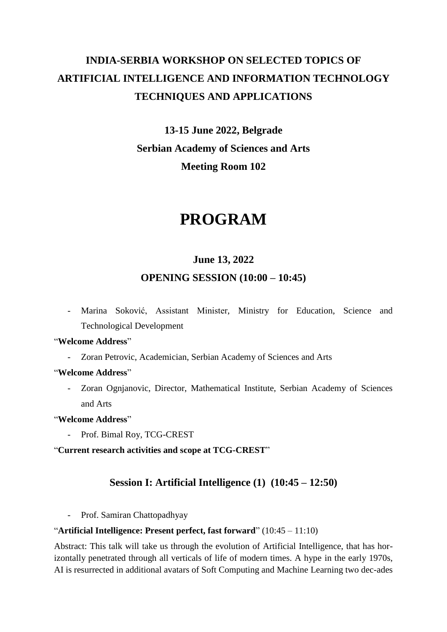# **INDIA-SERBIA WORKSHOP ON SELECTED TOPICS OF ARTIFICIAL INTELLIGENCE AND INFORMATION TECHNOLOGY TECHNIQUES AND APPLICATIONS**

## **13-15 June 2022, Belgrade Serbian Academy of Sciences and Arts Meeting Room 102**

# **PROGRAM**

## **June 13, 2022**

## **OPENING SESSION (10:00 – 10:45)**

- Marina Soković, Assistant Minister, Ministry for Education, Science and Technological Development

## "**Welcome Address**"

Zoran Petrovic, Academician, Serbian Academy of Sciences and Arts

### "**Welcome Address**"

- Zoran Ognjanovic, Director, Mathematical Institute, Serbian Academy of Sciences and Arts

## "**Welcome Address**"

- Prof. Bimal Roy, TCG-CREST

"**Current research activities and scope at TCG-CREST**"

## **Session I: Artificial Intelligence (1) (10:45 – 12:50)**

- Prof. Samiran Chattopadhyay

## "**Artificial Intelligence: Present perfect, fast forward**" (10:45 – 11:10)

Abstract: This talk will take us through the evolution of Artificial Intelligence, that has horizontally penetrated through all verticals of life of modern times. A hype in the early 1970s, AI is resurrected in additional avatars of Soft Computing and Machine Learning two dec-ades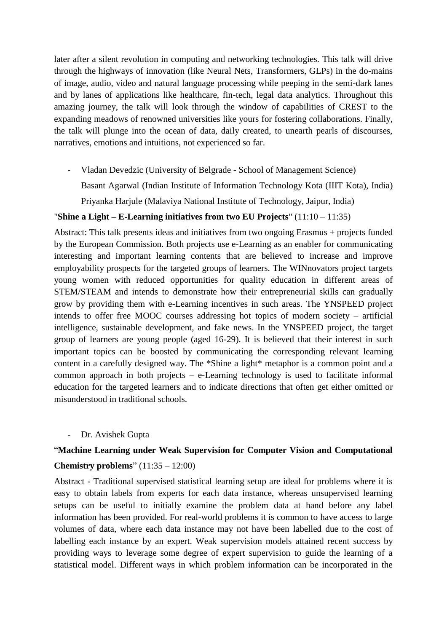later after a silent revolution in computing and networking technologies. This talk will drive through the highways of innovation (like Neural Nets, Transformers, GLPs) in the do-mains of image, audio, video and natural language processing while peeping in the semi-dark lanes and by lanes of applications like healthcare, fin-tech, legal data analytics. Throughout this amazing journey, the talk will look through the window of capabilities of CREST to the expanding meadows of renowned universities like yours for fostering collaborations. Finally, the talk will plunge into the ocean of data, daily created, to unearth pearls of discourses, narratives, emotions and intuitions, not experienced so far.

- Vladan Devedzic (University of Belgrade - School of Management Science)

Basant Agarwal (Indian Institute of Information Technology Kota (IIIT Kota), India)

Priyanka Harjule (Malaviya National Institute of Technology, Jaipur, India)

## "**Shine a Light – E-Learning initiatives from two EU Projects**" (11:10 – 11:35)

Abstract: This talk presents ideas and initiatives from two ongoing Erasmus + projects funded by the European Commission. Both projects use e-Learning as an enabler for communicating interesting and important learning contents that are believed to increase and improve employability prospects for the targeted groups of learners. The WINnovators project targets young women with reduced opportunities for quality education in different areas of STEM/STEAM and intends to demonstrate how their entrepreneurial skills can gradually grow by providing them with e-Learning incentives in such areas. The YNSPEED project intends to offer free MOOC courses addressing hot topics of modern society – artificial intelligence, sustainable development, and fake news. In the YNSPEED project, the target group of learners are young people (aged 16-29). It is believed that their interest in such important topics can be boosted by communicating the corresponding relevant learning content in a carefully designed way. The \*Shine a light\* metaphor is a common point and a common approach in both projects – e-Learning technology is used to facilitate informal education for the targeted learners and to indicate directions that often get either omitted or misunderstood in traditional schools.

- Dr. Avishek Gupta

## "**Machine Learning under Weak Supervision for Computer Vision and Computational**

### **Chemistry problems**" (11:35 – 12:00)

Abstract - Traditional supervised statistical learning setup are ideal for problems where it is easy to obtain labels from experts for each data instance, whereas unsupervised learning setups can be useful to initially examine the problem data at hand before any label information has been provided. For real-world problems it is common to have access to large volumes of data, where each data instance may not have been labelled due to the cost of labelling each instance by an expert. Weak supervision models attained recent success by providing ways to leverage some degree of expert supervision to guide the learning of a statistical model. Different ways in which problem information can be incorporated in the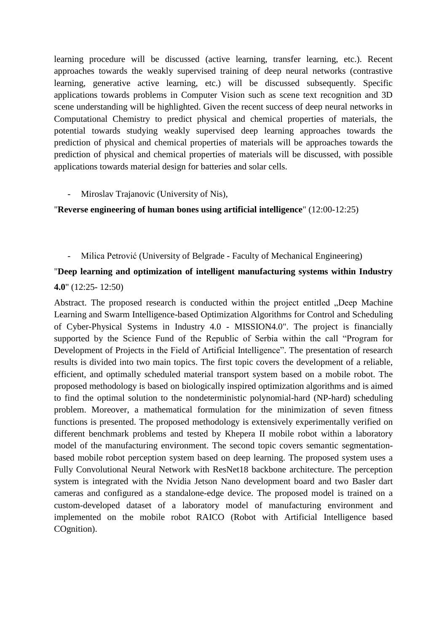learning procedure will be discussed (active learning, transfer learning, etc.). Recent approaches towards the weakly supervised training of deep neural networks (contrastive learning, generative active learning, etc.) will be discussed subsequently. Specific applications towards problems in Computer Vision such as scene text recognition and 3D scene understanding will be highlighted. Given the recent success of deep neural networks in Computational Chemistry to predict physical and chemical properties of materials, the potential towards studying weakly supervised deep learning approaches towards the prediction of physical and chemical properties of materials will be approaches towards the prediction of physical and chemical properties of materials will be discussed, with possible applications towards material design for batteries and solar cells.

Miroslav Trajanovic (University of Nis),

"**Reverse engineering of human bones using artificial intelligence**" (12:00-12:25)

### - Milica Petrović (University of Belgrade - Faculty of Mechanical Engineering)

## "**Deep learning and optimization of intelligent manufacturing systems within Industry 4.0**" (12:25- 12:50)

Abstract. The proposed research is conducted within the project entitled "Deep Machine Learning and Swarm Intelligence-based Optimization Algorithms for Control and Scheduling of Cyber-Physical Systems in Industry 4.0 - MISSION4.0". The project is financially supported by the Science Fund of the Republic of Serbia within the call "Program for Development of Projects in the Field of Artificial Intelligence". The presentation of research results is divided into two main topics. The first topic covers the development of a reliable, efficient, and optimally scheduled material transport system based on a mobile robot. The proposed methodology is based on biologically inspired optimization algorithms and is aimed to find the optimal solution to the nondeterministic polynomial-hard (NP-hard) scheduling problem. Moreover, a mathematical formulation for the minimization of seven fitness functions is presented. The proposed methodology is extensively experimentally verified on different benchmark problems and tested by Khepera II mobile robot within a laboratory model of the manufacturing environment. The second topic covers semantic segmentationbased mobile robot perception system based on deep learning. The proposed system uses a Fully Convolutional Neural Network with ResNet18 backbone architecture. The perception system is integrated with the Nvidia Jetson Nano development board and two Basler dart cameras and configured as a standalone-edge device. The proposed model is trained on a custom-developed dataset of a laboratory model of manufacturing environment and implemented on the mobile robot RAICO (Robot with Artificial Intelligence based COgnition).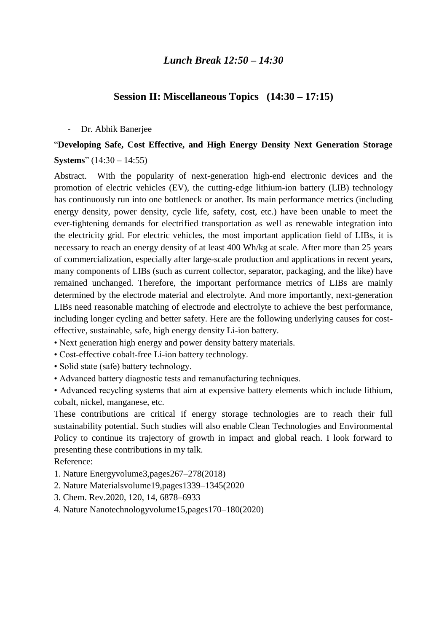## *Lunch Break 12:50 – 14:30*

## **Session II: Miscellaneous Topics (14:30 – 17:15)**

#### - Dr. Abhik Banerjee

## "**Developing Safe, Cost Effective, and High Energy Density Next Generation Storage Systems**" (14:30 – 14:55)

Abstract. With the popularity of next-generation high-end electronic devices and the promotion of electric vehicles (EV), the cutting-edge lithium-ion battery (LIB) technology has continuously run into one bottleneck or another. Its main performance metrics (including energy density, power density, cycle life, safety, cost, etc.) have been unable to meet the ever-tightening demands for electrified transportation as well as renewable integration into the electricity grid. For electric vehicles, the most important application field of LIBs, it is necessary to reach an energy density of at least 400 Wh/kg at scale. After more than 25 years of commercialization, especially after large-scale production and applications in recent years, many components of LIBs (such as current collector, separator, packaging, and the like) have remained unchanged. Therefore, the important performance metrics of LIBs are mainly determined by the electrode material and electrolyte. And more importantly, next-generation LIBs need reasonable matching of electrode and electrolyte to achieve the best performance, including longer cycling and better safety. Here are the following underlying causes for costeffective, sustainable, safe, high energy density Li-ion battery.

- Next generation high energy and power density battery materials.
- Cost-effective cobalt-free Li-ion battery technology.
- Solid state (safe) battery technology.
- Advanced battery diagnostic tests and remanufacturing techniques.

• Advanced recycling systems that aim at expensive battery elements which include lithium, cobalt, nickel, manganese, etc.

These contributions are critical if energy storage technologies are to reach their full sustainability potential. Such studies will also enable Clean Technologies and Environmental Policy to continue its trajectory of growth in impact and global reach. I look forward to presenting these contributions in my talk.

Reference:

- 1. Nature Energyvolume3,pages267–278(2018)
- 2. Nature Materialsvolume19,pages1339–1345(2020
- 3. Chem. Rev.2020, 120, 14, 6878–6933
- 4. Nature Nanotechnologyvolume15,pages170–180(2020)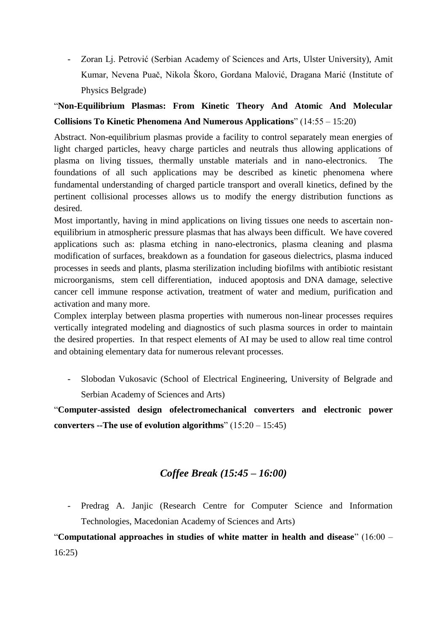- Zoran Lj. Petrović (Serbian Academy of Sciences and Arts, Ulster University), Amit Kumar, Nevena Puač, Nikola Škoro, Gordana Malović, Dragana Marić (Institute of Physics Belgrade)

## "**Non-Equilibrium Plasmas: From Kinetic Theory And Atomic And Molecular Collisions To Kinetic Phenomena And Numerous Applications**" (14:55 – 15:20)

Abstract. Non-equilibrium plasmas provide a facility to control separately mean energies of light charged particles, heavy charge particles and neutrals thus allowing applications of plasma on living tissues, thermally unstable materials and in nano-electronics. The foundations of all such applications may be described as kinetic phenomena where fundamental understanding of charged particle transport and overall kinetics, defined by the pertinent collisional processes allows us to modify the energy distribution functions as desired.

Most importantly, having in mind applications on living tissues one needs to ascertain nonequilibrium in atmospheric pressure plasmas that has always been difficult. We have covered applications such as: plasma etching in nano-electronics, plasma cleaning and plasma modification of surfaces, breakdown as a foundation for gaseous dielectrics, plasma induced processes in seeds and plants, plasma sterilization including biofilms with antibiotic resistant microorganisms, stem cell differentiation, induced apoptosis and DNA damage, selective cancer cell immune response activation, treatment of water and medium, purification and activation and many more.

Complex interplay between plasma properties with numerous non-linear processes requires vertically integrated modeling and diagnostics of such plasma sources in order to maintain the desired properties. In that respect elements of AI may be used to allow real time control and obtaining elementary data for numerous relevant processes.

- Slobodan Vukosavic (School of Electrical Engineering, University of Belgrade and Serbian Academy of Sciences and Arts)

"**Computer-assisted design ofelectromechanical converters and electronic power converters --The use of evolution algorithms**" (15:20 – 15:45)

## *Coffee Break (15:45 – 16:00)*

- Predrag A. Janjic (Research Centre for Computer Science and Information Technologies, Macedonian Academy of Sciences and Arts)

"**Computational approaches in studies of white matter in health and disease**" (16:00 – 16:25)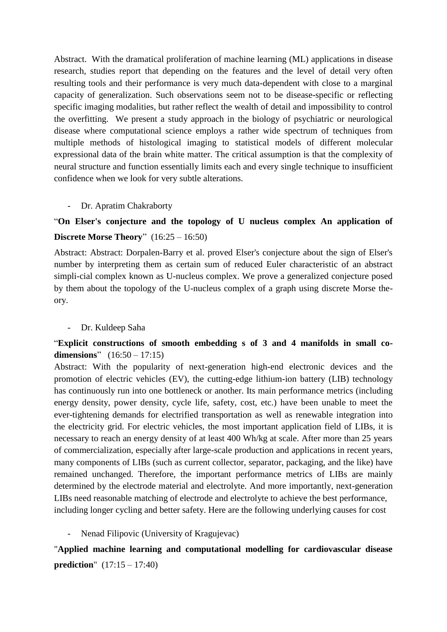Abstract. With the dramatical proliferation of machine learning (ML) applications in disease research, studies report that depending on the features and the level of detail very often resulting tools and their performance is very much data-dependent with close to a marginal capacity of generalization. Such observations seem not to be disease-specific or reflecting specific imaging modalities, but rather reflect the wealth of detail and impossibility to control the overfitting. We present a study approach in the biology of psychiatric or neurological disease where computational science employs a rather wide spectrum of techniques from multiple methods of histological imaging to statistical models of different molecular expressional data of the brain white matter. The critical assumption is that the complexity of neural structure and function essentially limits each and every single technique to insufficient confidence when we look for very subtle alterations.

### - Dr. Apratim Chakraborty

## "**On Elser's conjecture and the topology of U nucleus complex An application of Discrete Morse Theory**" (16:25 – 16:50)

Abstract: Abstract: Dorpalen-Barry et al. proved Elser's conjecture about the sign of Elser's number by interpreting them as certain sum of reduced Euler characteristic of an abstract simpli-cial complex known as U-nucleus complex. We prove a generalized conjecture posed by them about the topology of the U-nucleus complex of a graph using discrete Morse theory.

### - Dr. Kuldeep Saha

## "**Explicit constructions of smooth embedding s of 3 and 4 manifolds in small codimensions**" (16:50 – 17:15)

Abstract: With the popularity of next-generation high-end electronic devices and the promotion of electric vehicles (EV), the cutting-edge lithium-ion battery (LIB) technology has continuously run into one bottleneck or another. Its main performance metrics (including energy density, power density, cycle life, safety, cost, etc.) have been unable to meet the ever-tightening demands for electrified transportation as well as renewable integration into the electricity grid. For electric vehicles, the most important application field of LIBs, it is necessary to reach an energy density of at least 400 Wh/kg at scale. After more than 25 years of commercialization, especially after large-scale production and applications in recent years, many components of LIBs (such as current collector, separator, packaging, and the like) have remained unchanged. Therefore, the important performance metrics of LIBs are mainly determined by the electrode material and electrolyte. And more importantly, next-generation LIBs need reasonable matching of electrode and electrolyte to achieve the best performance, including longer cycling and better safety. Here are the following underlying causes for cost

### Nenad Filipovic (University of Kragujevac)

"**Applied machine learning and computational modelling for cardiovascular disease prediction**" (17:15 – 17:40)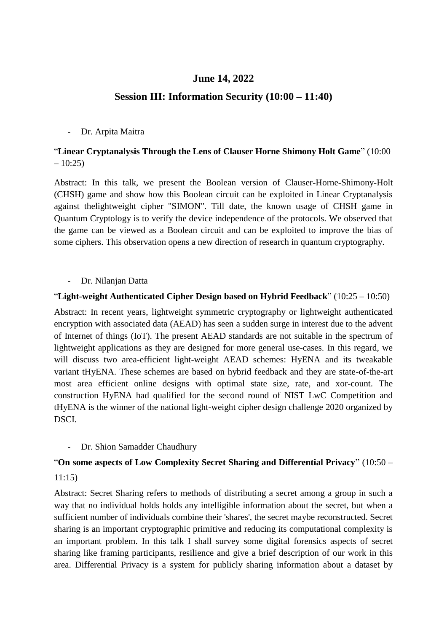## **June 14, 2022**

## **Session III: Information Security (10:00 – 11:40)**

#### - Dr. Arpita Maitra

## "**Linear Cryptanalysis Through the Lens of Clauser Horne Shimony Holt Game**" (10:00  $-10:25$

Abstract: In this talk, we present the Boolean version of Clauser-Horne-Shimony-Holt (CHSH) game and show how this Boolean circuit can be exploited in Linear Cryptanalysis against thelightweight cipher "SIMON". Till date, the known usage of CHSH game in Quantum Cryptology is to verify the device independence of the protocols. We observed that the game can be viewed as a Boolean circuit and can be exploited to improve the bias of some ciphers. This observation opens a new direction of research in quantum cryptography.

#### - Dr. Nilanjan Datta

## "**Light-weight Authenticated Cipher Design based on Hybrid Feedback**" (10:25 – 10:50)

Abstract: In recent years, lightweight symmetric cryptography or lightweight authenticated encryption with associated data (AEAD) has seen a sudden surge in interest due to the advent of Internet of things (IoT). The present AEAD standards are not suitable in the spectrum of lightweight applications as they are designed for more general use-cases. In this regard, we will discuss two area-efficient light-weight AEAD schemes: HyENA and its tweakable variant tHyENA. These schemes are based on hybrid feedback and they are state-of-the-art most area efficient online designs with optimal state size, rate, and xor-count. The construction HyENA had qualified for the second round of NIST LwC Competition and tHyENA is the winner of the national light-weight cipher design challenge 2020 organized by DSCI.

### - Dr. Shion Samadder Chaudhury

## "**On some aspects of Low Complexity Secret Sharing and Differential Privacy**" (10:50 –

11:15)

Abstract: Secret Sharing refers to methods of distributing a secret among a group in such a way that no individual holds holds any intelligible information about the secret, but when a sufficient number of individuals combine their 'shares', the secret maybe reconstructed. Secret sharing is an important cryptographic primitive and reducing its computational complexity is an important problem. In this talk I shall survey some digital forensics aspects of secret sharing like framing participants, resilience and give a brief description of our work in this area. Differential Privacy is a system for publicly sharing information about a dataset by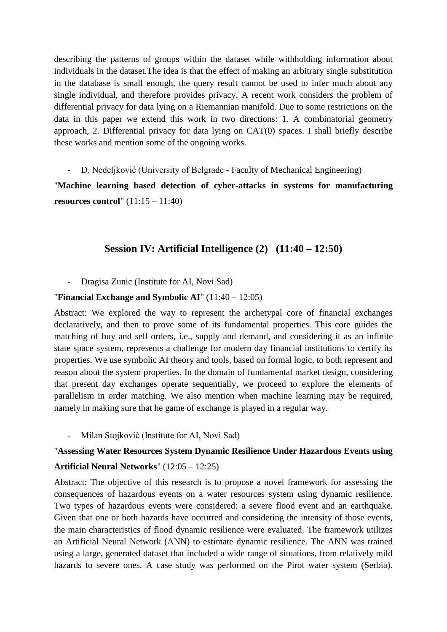describing the patterns of groups within the dataset while withholding information about individuals in the dataset.The idea is that the effect of making an arbitrary single substitution in the database is small enough, the query result cannot be used to infer much about any single individual, and therefore provides privacy. A recent work considers the problem of differential privacy for data lying on a Riemannian manifold. Due to some restrictions on the data in this paper we extend this work in two directions: 1. A combinatorial geometry approach, 2. Differential privacy for data lying on CAT(0) spaces. I shall briefly describe these works and mention some of the ongoing works.

- D. Nedeljković (University of Belgrade - Faculty of Mechanical Engineering)

"**Machine learning based detection of cyber-attacks in systems for manufacturing resources control**" (11:15 – 11:40)

## **Session IV: Artificial Intelligence (2) (11:40 – 12:50)**

- Dragisa Zunic (Institute for AI, Novi Sad)

#### "**Financial Exchange and Symbolic AI**" (11:40 – 12:05)

Abstract: We explored the way to represent the archetypal core of financial exchanges declaratively, and then to prove some of its fundamental properties. This core guides the matching of buy and sell orders, i.e., supply and demand, and considering it as an infinite state space system, represents a challenge for modern day financial institutions to certify its properties. We use symbolic AI theory and tools, based on formal logic, to both represent and reason about the system properties. In the domain of fundamental market design, considering that present day exchanges operate sequentially, we proceed to explore the elements of parallelism in order matching. We also mention when machine learning may be required, namely in making sure that he game of exchange is played in a regular way.

- Milan Stojković (Institute for AI, Novi Sad)

### "**Assessing Water Resources System Dynamic Resilience Under Hazardous Events using**

#### **Artificial Neural Networks**" (12:05 – 12:25)

Abstract: The objective of this research is to propose a novel framework for assessing the consequences of hazardous events on a water resources system using dynamic resilience. Two types of hazardous events were considered: a severe flood event and an earthquake. Given that one or both hazards have occurred and considering the intensity of those events, the main characteristics of flood dynamic resilience were evaluated. The framework utilizes an Artificial Neural Network (ANN) to estimate dynamic resilience. The ANN was trained using a large, generated dataset that included a wide range of situations, from relatively mild hazards to severe ones. A case study was performed on the Pirot water system (Serbia).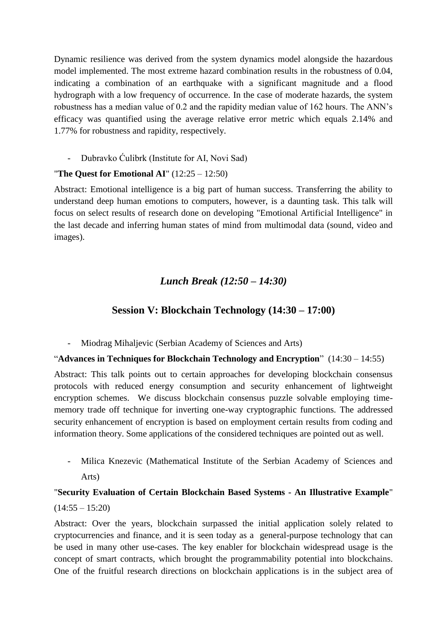Dynamic resilience was derived from the system dynamics model alongside the hazardous model implemented. The most extreme hazard combination results in the robustness of 0.04, indicating a combination of an earthquake with a significant magnitude and a flood hydrograph with a low frequency of occurrence. In the case of moderate hazards, the system robustness has a median value of 0.2 and the rapidity median value of 162 hours. The ANN's efficacy was quantified using the average relative error metric which equals 2.14% and 1.77% for robustness and rapidity, respectively.

- Dubravko Ćulibrk (Institute for AI, Novi Sad)

## "**The Quest for Emotional AI**" (12:25 – 12:50)

Abstract: Emotional intelligence is a big part of human success. Transferring the ability to understand deep human emotions to computers, however, is a daunting task. This talk will focus on select results of research done on developing "Emotional Artificial Intelligence" in the last decade and inferring human states of mind from multimodal data (sound, video and images).

## *Lunch Break (12:50 – 14:30)*

## **Session V: Blockchain Technology (14:30 – 17:00)**

### - Miodrag Mihaljevic (Serbian Academy of Sciences and Arts)

### "**Advances in Techniques for Blockchain Technology and Encryption**" (14:30 – 14:55)

Abstract: This talk points out to certain approaches for developing blockchain consensus protocols with reduced energy consumption and security enhancement of lightweight encryption schemes. We discuss blockchain consensus puzzle solvable employing timememory trade off technique for inverting one-way cryptographic functions. The addressed security enhancement of encryption is based on employment certain results from coding and information theory. Some applications of the considered techniques are pointed out as well.

- Milica Knezevic (Mathematical Institute of the Serbian Academy of Sciences and Arts)

## "**Security Evaluation of Certain Blockchain Based Systems - An Illustrative Example**"  $(14:55 - 15:20)$

Abstract: Over the years, blockchain surpassed the initial application solely related to cryptocurrencies and finance, and it is seen today as a general-purpose technology that can be used in many other use-cases. The key enabler for blockchain widespread usage is the concept of smart contracts, which brought the programmability potential into blockchains. One of the fruitful research directions on blockchain applications is in the subject area of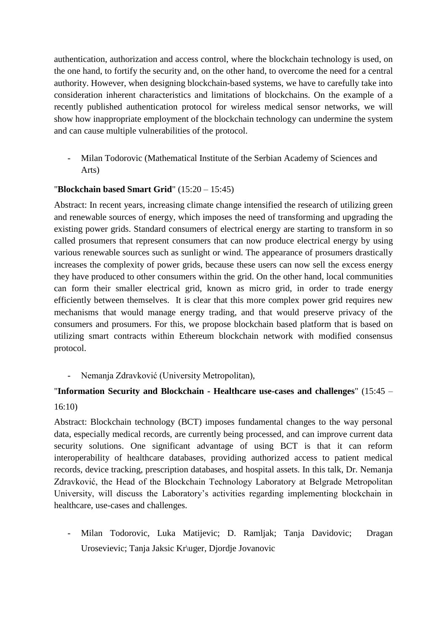authentication, authorization and access control, where the blockchain technology is used, on the one hand, to fortify the security and, on the other hand, to overcome the need for a central authority. However, when designing blockchain-based systems, we have to carefully take into consideration inherent characteristics and limitations of blockchains. On the example of a recently published authentication protocol for wireless medical sensor networks, we will show how inappropriate employment of the blockchain technology can undermine the system and can cause multiple vulnerabilities of the protocol.

- Milan Todorovic (Mathematical Institute of the Serbian Academy of Sciences and Arts)

## "**Blockchain based Smart Grid**" (15:20 – 15:45)

Abstract: In recent years, increasing climate change intensified the research of utilizing green and renewable sources of energy, which imposes the need of transforming and upgrading the existing power grids. Standard consumers of electrical energy are starting to transform in so called prosumers that represent consumers that can now produce electrical energy by using various renewable sources such as sunlight or wind. The appearance of prosumers drastically increases the complexity of power grids, because these users can now sell the excess energy they have produced to other consumers within the grid. On the other hand, local communities can form their smaller electrical grid, known as micro grid, in order to trade energy efficiently between themselves. It is clear that this more complex power grid requires new mechanisms that would manage energy trading, and that would preserve privacy of the consumers and prosumers. For this, we propose blockchain based platform that is based on utilizing smart contracts within Ethereum blockchain network with modified consensus protocol.

### - Nemanja Zdravković (University Metropolitan),

## "**Information Security and Blockchain - Healthcare use-cases and challenges**" (15:45 – 16:10)

Abstract: Blockchain technology (BCT) imposes fundamental changes to the way personal data, especially medical records, are currently being processed, and can improve current data security solutions. One significant advantage of using BCT is that it can reform interoperability of healthcare databases, providing authorized access to patient medical records, device tracking, prescription databases, and hospital assets. In this talk, Dr. Nemanja Zdravković, the Head of the Blockchain Technology Laboratory at Belgrade Metropolitan University, will discuss the Laboratory's activities regarding implementing blockchain in healthcare, use-cases and challenges.

- Milan Todorovic, Luka Matijevic; D. Ramljak; Tanja Davidovic; Dragan Urosevievic; Tanja Jaksic Kr\uger, Djordje Jovanovic